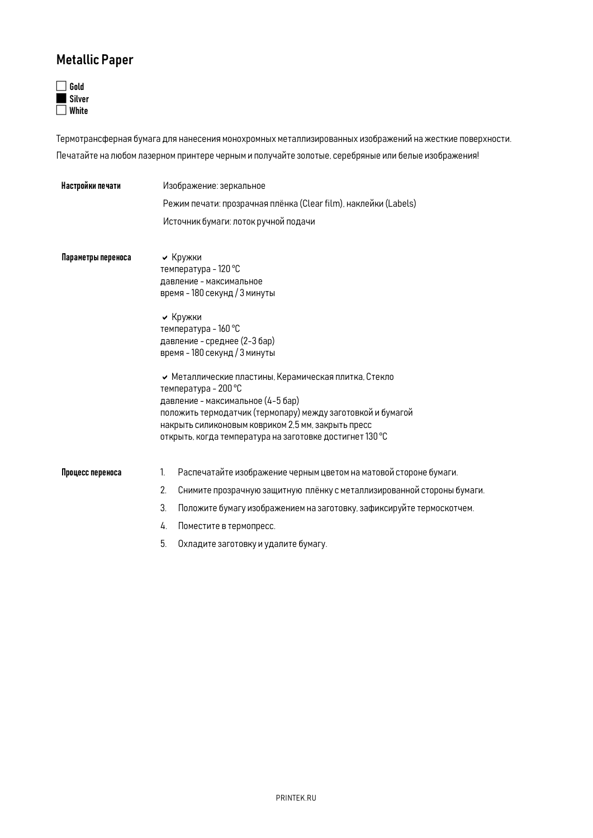## Metallic Paper



Термотрансферная бумага для нанесения монохромных металлизированных изображений на жесткие поверхности. Печатайте на любом лазерном принтере черным и получайте золотые, серебряные или белые изображения!

| Настройки печати   | Изображение: зеркальное                                                                                                                                                                                                                                                                           |  |  |
|--------------------|---------------------------------------------------------------------------------------------------------------------------------------------------------------------------------------------------------------------------------------------------------------------------------------------------|--|--|
|                    | Режим печати: прозрачная плёнка (Clear film), наклейки (Labels)                                                                                                                                                                                                                                   |  |  |
|                    | Источник бумаги: лоток ручной подачи                                                                                                                                                                                                                                                              |  |  |
| Параметры переноса | • Кружки<br>температура - 120 °С<br>давление - максимальное<br>время - 180 секунд / 3 минуты                                                                                                                                                                                                      |  |  |
|                    | • Кружки<br>температура - 160 °С<br>давление - среднее (2-3 бар)<br>время - 180 секунд / 3 минуты                                                                                                                                                                                                 |  |  |
|                    | Иеталлические пластины, Керамическая плитка, Стекло<br>температура - 200 °С<br>давление - максимальное (4-5 бар)<br>положить термодатчик (термопару) между заготовкой и бумагой<br>накрыть силиконовым ковриком 2,5 мм, закрыть пресс<br>открыть, когда температура на заготовке достигнет 130 °С |  |  |
| Процесс переноса   | Распечатайте изображение черным цветом на матовой стороне бумаги.<br>1.                                                                                                                                                                                                                           |  |  |
|                    | 2.<br>Снимите прозрачную защитную плёнку с металлизированной стороны бумаги.                                                                                                                                                                                                                      |  |  |
|                    | 3.<br>Положите бумагу изображением на заготовку, зафиксируйте термоскотчем.                                                                                                                                                                                                                       |  |  |
|                    | Поместите в термопресс.<br>4.                                                                                                                                                                                                                                                                     |  |  |
|                    | 5.<br>Охладите заготовку и удалите бумагу.                                                                                                                                                                                                                                                        |  |  |